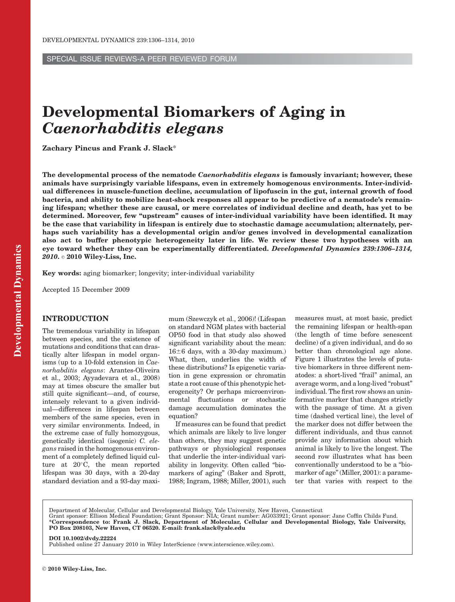SPECIAL ISSUE REVIEWS-A PEER REVIEWED FORUM

# Developmental Biomarkers of Aging in Caenorhabditis elegans

Zachary Pincus and Frank J. Slack\*

The developmental process of the nematode Caenorhabditis elegans is famously invariant; however, these animals have surprisingly variable lifespans, even in extremely homogenous environments. Inter-individual differences in muscle-function decline, accumulation of lipofuscin in the gut, internal growth of food bacteria, and ability to mobilize heat-shock responses all appear to be predictive of a nematode's remaining lifespan; whether these are causal, or mere correlates of individual decline and death, has yet to be determined. Moreover, few ''upstream'' causes of inter-individual variability have been identified. It may be the case that variability in lifespan is entirely due to stochastic damage accumulation; alternately, perhaps such variability has a developmental origin and/or genes involved in developmental canalization also act to buffer phenotypic heterogeneity later in life. We review these two hypotheses with an eye toward whether they can be experimentally differentiated. Developmental Dynamics 239:1306–1314, 2010. 2010 Wiley-Liss, Inc.

Key words: aging biomarker; longevity; inter-individual variability

Accepted 15 December 2009

#### INTRODUCTION

The tremendous variability in lifespan between species, and the existence of mutations and conditions that can drastically alter lifespan in model organisms (up to a 10-fold extension in Caenorhabditis elegans: Arantes-Oliveira et al., 2003; Ayyadevara et al., 2008) may at times obscure the smaller but still quite significant—and, of course, intensely relevant to a given individual—differences in lifespan between members of the same species, even in very similar environments. Indeed, in the extreme case of fully homozygous, genetically identical (isogenic) C. elegans raised in the homogenous environment of a completely defined liquid culture at  $20^{\circ}$ C, the mean reported lifespan was 30 days, with a 20-day standard deviation and a 93-day maximum (Szewczyk et al., 2006)! (Lifespan on standard NGM plates with bacterial OP50 food in that study also showed significant variability about the mean:  $16±6$  days, with a 30-day maximum.) What, then, underlies the width of these distributions? Is epigenetic variation in gene expression or chromatin state a root cause of this phenotypic heterogeneity? Or perhaps microenvironmental fluctuations or stochastic damage accumulation dominates the equation?

If measures can be found that predict which animals are likely to live longer than others, they may suggest genetic pathways or physiological responses that underlie the inter-individual variability in longevity. Often called ''biomarkers of aging'' (Baker and Sprott, 1988; Ingram, 1988; Miller, 2001), such

measures must, at most basic, predict the remaining lifespan or health-span (the length of time before senescent decline) of a given individual, and do so better than chronological age alone. Figure 1 illustrates the levels of putative biomarkers in three different nematodes: a short-lived ''frail'' animal, an average worm, and a long-lived ''robust'' individual. The first row shows an uninformative marker that changes strictly with the passage of time. At a given time (dashed vertical line), the level of the marker does not differ between the different individuals, and thus cannot provide any information about which animal is likely to live the longest. The second row illustrates what has been conventionally understood to be a ''biomarker of age'' (Miller, 2001): a parameter that varies with respect to the

Department of Molecular, Cellular and Developmental Biology, Yale University, New Haven, Connecticut<br>Grant sponsor: Ellison Medical Foundation; Grant Sponsor: NIA; Grant number: AG033921; Grant sponsor: Jane Coffin Childs

\*Correspondence to: Frank J. Slack, Department of Molecular, Cellular and Developmental Biology, Yale University, PO Box 208103, New Haven, CT 06520. E-mail: frank.slack@yale.edu

#### DOI 10.1002/dvdy.22224

Published online 27 January 2010 in Wiley InterScience (www.interscience.wiley.com).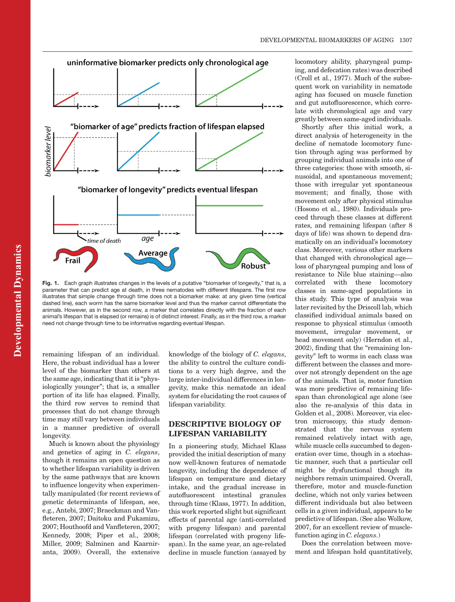

Fig. 1. Each graph illustrates changes in the levels of a putative "biomarker of longevity," that is, a parameter that can predict age at death, in three nematodes with different lifespans. The first row illustrates that simple change through time does not a biomarker make: at any given time (vertical dashed line), each worm has the same biomarker level and thus the marker cannot differentiate the animals. However, as in the second row, a marker that correlates directly with the fraction of each animal's lifespan that is elapsed (or remains) is of distinct interest. Finally, as in the third row, a marker need not change through time to be informative regarding eventual lifespan.

remaining lifespan of an individual. Here, the robust individual has a lower level of the biomarker than others at the same age, indicating that it is ''physiologically younger''; that is, a smaller portion of its life has elapsed. Finally, the third row serves to remind that processes that do not change through time may still vary between individuals in a manner predictive of overall longevity.

Much is known about the physiology and genetics of aging in C. elegans, though it remains an open question as to whether lifespan variability is driven by the same pathways that are known to influence longevity when experimentally manipulated (for recent reviews of genetic determinants of lifespan, see, e.g., Antebi, 2007; Braeckman and Vanfleteren, 2007; Daitoku and Fukamizu, 2007; Houthoofd and Vanfleteren, 2007; Kennedy, 2008; Piper et al., 2008; Miller, 2009; Salminen and Kaarniranta, 2009). Overall, the extensive knowledge of the biology of C. elegans, the ability to control the culture conditions to a very high degree, and the large inter-individual differences in longevity, make this nematode an ideal system for elucidating the root causes of lifespan variability.

### DESCRIPTIVE BIOLOGY OF LIFESPAN VARIABILITY

In a pioneering study, Michael Klass provided the initial description of many now well-known features of nematode longevity, including the dependence of lifespan on temperature and dietary intake, and the gradual increase in autofluorescent intestinal granules through time (Klass, 1977). In addition, this work reported slight but significant effects of parental age (anti-correlated with progeny lifespan) and parental lifespan (correlated with progeny lifespan). In the same year, an age-related decline in muscle function (assayed by

locomotory ability, pharyngeal pumping, and defecation rates) was described (Croll et al., 1977). Much of the subsequent work on variability in nematode aging has focused on muscle function and gut autofluorescence, which correlate with chronological age and vary greatly between same-aged individuals.

Shortly after this initial work, a direct analysis of heterogeneity in the decline of nematode locomotory function through aging was performed by grouping individual animals into one of three categories: those with smooth, sinusoidal, and spontaneous movement; those with irregular yet spontaneous movement; and finally, those with movement only after physical stimulus (Hosono et al., 1980). Individuals proceed through these classes at different rates, and remaining lifespan (after 8 days of life) was shown to depend dramatically on an individual's locomotory class. Moreover, various other markers that changed with chronological age loss of pharyngeal pumping and loss of resistance to Nile blue staining—also correlated with these locomotory classes in same-aged populations in this study. This type of analysis was later revisited by the Driscoll lab, which classified individual animals based on response to physical stimulus (smooth movement, irregular movement, or head movement only) (Herndon et al., 2002), finding that the "remaining longevity'' left to worms in each class was different between the classes and moreover not strongly dependent on the age of the animals. That is, motor function was more predictive of remaining lifespan than chronological age alone (see also the re-analysis of this data in Golden et al., 2008). Moreover, via electron microscopy, this study demonstrated that the nervous system remained relatively intact with age, while muscle cells succumbed to degeneration over time, though in a stochastic manner, such that a particular cell might be dysfunctional though its neighbors remain unimpaired. Overall, therefore, motor and muscle-function decline, which not only varies between different individuals but also between cells in a given individual, appears to be predictive of lifespan. (See also Wolkow, 2007, for an excellent review of musclefunction aging in C. elegans.)

Does the correlation between movement and lifespan hold quantitatively,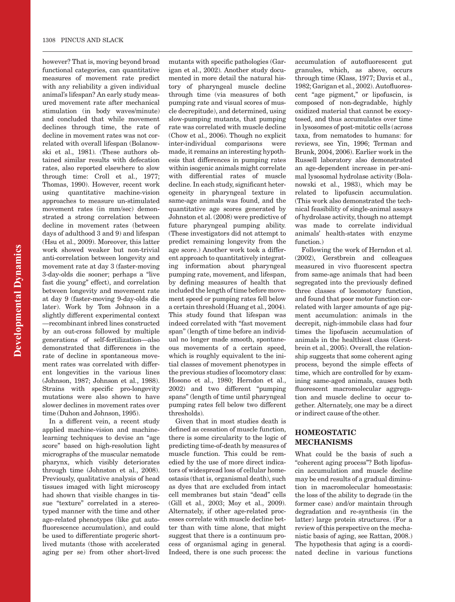however? That is, moving beyond broad functional categories, can quantitative measures of movement rate predict with any reliability a given individual animal's lifespan? An early study measured movement rate after mechanical stimulation (in body waves/minute) and concluded that while movement declines through time, the rate of decline in movement rates was not correlated with overall lifespan (Bolanowski et al., 1981). (These authors obtained similar results with defecation rates, also reported elsewhere to slow through time: Croll et al., 1977; Thomas, 1990). However, recent work using quantitative machine-vision approaches to measure un-stimulated movement rates (in mm/sec) demonstrated a strong correlation between decline in movement rates (between days of adulthood 3 and 9) and lifespan (Hsu et al., 2009). Moreover, this latter work showed weaker but non-trivial anti-correlation between longevity and movement rate at day 3 (faster-moving 3-day-olds die sooner; perhaps a ''live fast die young'' effect), and correlation between longevity and movement rate at day 9 (faster-moving 9-day-olds die later). Work by Tom Johnson in a slightly different experimental context —recombinant inbred lines constructed by an out-cross followed by multiple generations of self-fertilization—also demonstrated that differences in the rate of decline in spontaneous movement rates was correlated with different longevities in the various lines (Johnson, 1987; Johnson et al., 1988). Strains with specific pro-longevity mutations were also shown to have slower declines in movement rates over time (Duhon and Johnson, 1995).

In a different vein, a recent study applied machine-vision and machinelearning techniques to devise an ''age score'' based on high-resolution light micrographs of the muscular nematode pharynx, which visibly deteriorates through time (Johnston et al., 2008). Previously, qualitative analysis of head tissues imaged with light microscopy had shown that visible changes in tissue "texture" correlated in a stereotyped manner with the time and other age-related phenotypes (like gut autofluorescence accumulation), and could be used to differentiate progeric shortlived mutants (those with accelerated aging per se) from other short-lived

mutants with specific pathologies (Garigan et al., 2002). Another study documented in more detail the natural history of pharyngeal muscle decline through time (via measures of both pumping rate and visual scores of muscle decrepitude), and determined, using slow-pumping mutants, that pumping rate was correlated with muscle decline (Chow et al., 2006). Though no explicit inter-individual comparisons were made, it remains an interesting hypothesis that differences in pumping rates within isogenic animals might correlate with differential rates of muscle decline. In each study, significant heterogeneity in pharyngeal texture in same-age animals was found, and the quantitative age scores generated by Johnston et al. (2008) were predictive of future pharyngeal pumping ability. (These investigators did not attempt to predict remaining longevity from the age score.) Another work took a different approach to quantitatively integrating information about pharyngeal pumping rate, movement, and lifespan, by defining measures of health that included the length of time before movement speed or pumping rates fell below a certain threshold (Huang et al., 2004). This study found that lifespan was indeed correlated with ''fast movement span'' (length of time before an individual no longer made smooth, spontaneous movements of a certain speed, which is roughly equivalent to the initial classes of movement phenotypes in the previous studies of locomotory class: Hosono et al., 1980; Herndon et al., 2002) and two different ''pumping spans'' (length of time until pharyngeal pumping rates fell below two different thresholds).

Given that in most studies death is defined as cessation of muscle function, there is some circularity to the logic of predicting time-of-death by measures of muscle function. This could be remedied by the use of more direct indicators of widespread loss of cellular homeostasis (that is, organismal death), such as dyes that are excluded from intact cell membranes but stain ''dead'' cells (Gill et al., 2003; Moy et al., 2009). Alternately, if other age-related processes correlate with muscle decline better than with time alone, that might suggest that there is a continuum process of organismal aging in general. Indeed, there is one such process: the

accumulation of autofluorescent gut granules, which, as above, occurs through time (Klass, 1977; Davis et al., 1982; Garigan et al., 2002). Autofluorescent "age pigment," or lipofuscin, is composed of non-degradable, highly oxidized material that cannot be exocytosed, and thus accumulates over time in lysosomes of post-mitotic cells (across taxa, from nematodes to humans: for reviews, see Yin, 1996; Terman and Brunk, 2004, 2006). Earlier work in the Russell laboratory also demonstrated an age-dependent increase in per-animal lysosomal hydrolase activity (Bolanowski et al., 1983), which may be related to lipofuscin accumulation. (This work also demonstrated the technical feasibility of single-animal assays of hydrolase activity, though no attempt was made to correlate individual animals' health-states with enzyme function.)

Following the work of Herndon et al. (2002), Gerstbrein and colleagues measured in vivo fluorescent spectra from same-age animals that had been segregated into the previously defined three classes of locomotory function, and found that poor motor function correlated with larger amounts of age pigment accumulation: animals in the decrepit, nigh-immobile class had four times the lipofuscin accumulation of animals in the healthiest class (Gerstbrein et al., 2005). Overall, the relationship suggests that some coherent aging process, beyond the simple effects of time, which are controlled for by examining same-aged animals, causes both fluorescent macromolecular aggregation and muscle decline to occur together. Alternately, one may be a direct or indirect cause of the other.

# HOMEOSTATIC MECHANISMS

What could be the basis of such a ''coherent aging process''? Both lipofuscin accumulation and muscle decline may be end results of a gradual diminution in macromolecular homeostasis: the loss of the ability to degrade (in the former case) and/or maintain through degradation and re-synthesis (in the latter) large protein structures. (For a review of this perspective on the mechanistic basis of aging, see Rattan, 2008.) The hypothesis that aging is a coordinated decline in various functions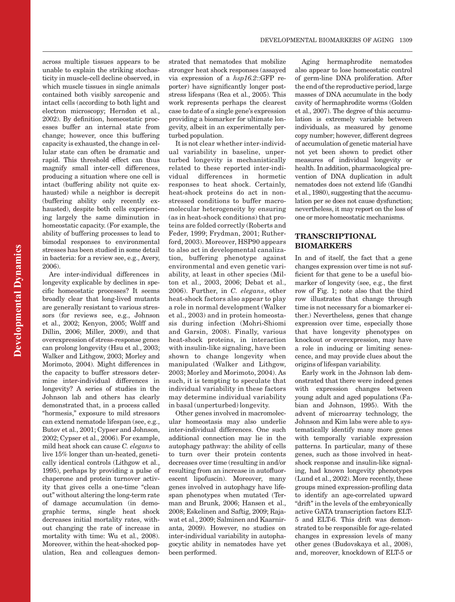across multiple tissues appears to be unable to explain the striking stochasticity in muscle-cell decline observed, in which muscle tissues in single animals contained both visibly sarcopenic and intact cells (according to both light and electron microscopy; Herndon et al., 2002). By definition, homeostatic processes buffer an internal state from change; however, once this buffering capacity is exhausted, the change in cellular state can often be dramatic and rapid. This threshold effect can thus magnify small inter-cell differences, producing a situation where one cell is intact (buffering ability not quite exhausted) while a neighbor is decrepit (buffering ability only recently exhausted), despite both cells experiencing largely the same diminution in homeostatic capacity. (For example, the ability of buffering processes to lead to bimodal responses to environmental stresses has been studied in some detail in bacteria: for a review see, e.g., Avery, 2006).

Are inter-individual differences in longevity explicable by declines in specific homeostatic processes? It seems broadly clear that long-lived mutants are generally resistant to various stressors (for reviews see, e.g., Johnson et al., 2002; Kenyon, 2005; Wolff and Dillin, 2006; Miller, 2009), and that overexpression of stress-response genes can prolong longevity (Hsu et al., 2003; Walker and Lithgow, 2003; Morley and Morimoto, 2004). Might differences in the capacity to buffer stressors determine inter-individual differences in longevity? A series of studies in the Johnson lab and others has clearly demonstrated that, in a process called ''hormesis,'' exposure to mild stressors can extend nematode lifespan (see, e.g., Butov et al., 2001; Cypser and Johnson, 2002; Cypser et al., 2006). For example, mild heat shock can cause C. elegans to live 15% longer than un-heated, genetically identical controls (Lithgow et al., 1995), perhaps by providing a pulse of chaperone and protein turnover activity that gives cells a one-time "clean out'' without altering the long-term rate of damage accumulation (in demographic terms, single heat shock decreases initial mortality rates, without changing the rate of increase in mortality with time: Wu et al., 2008). Moreover, within the heat-shocked population, Rea and colleagues demonstrated that nematodes that mobilize stronger heat shock responses (assayed via expression of a hsp16.2::GFP reporter) have significantly longer poststress lifespans (Rea et al., 2005). This work represents perhaps the clearest case to date of a single gene's expression providing a biomarker for ultimate longevity, albeit in an experimentally perturbed population.

It is not clear whether inter-individual variability in baseline, unperturbed longevity is mechanistically related to these reported inter-individual differences in hormetic responses to heat shock. Certainly, heat-shock proteins do act in nonstressed conditions to buffer macromolecular heterogeneity by ensuring (as in heat-shock conditions) that proteins are folded correctly (Roberts and Feder, 1999; Frydman, 2001; Rutherford, 2003). Moreover, HSP90 appears to also act in developmental canalization, buffering phenotype against environmental and even genetic variability, at least in other species (Milton et al., 2003, 2006; Debat et al., 2006). Further, in C. elegans, other heat-shock factors also appear to play a role in normal development (Walker et al., 2003) and in protein homeostasis during infection (Mohri-Shiomi and Garsin, 2008). Finally, various heat-shock proteins, in interaction with insulin-like signaling, have been shown to change longevity when manipulated (Walker and Lithgow, 2003; Morley and Morimoto, 2004). As such, it is tempting to speculate that individual variability in these factors may determine individual variability in basal (unperturbed) longevity.

Other genes involved in macromolecular homeostasis may also underlie inter-individual differences. One such additional connection may lie in the autophagy pathway: the ability of cells to turn over their protein contents decreases over time (resulting in and/or resulting from an increase in autofluorescent lipofuscin). Moreover, many genes involved in autophagy have lifespan phenotypes when mutated (Terman and Brunk, 2006; Hansen et al., 2008; Eskelinen and Saftig, 2009; Rajawat et al., 2009; Salminen and Kaarniranta, 2009). However, no studies on inter-individual variability in autophagocytic ability in nematodes have yet been performed.

Aging hermaphrodite nematodes also appear to lose homeostatic control of germ-line DNA proliferation. After the end of the reproductive period, large masses of DNA accumulate in the body cavity of hermaphrodite worms (Golden et al., 2007). The degree of this accumulation is extremely variable between individuals, as measured by genome copy number; however, different degrees of accumulation of genetic material have not yet been shown to predict other measures of individual longevity or health. In addition, pharmacological prevention of DNA duplication in adult nematodes does not extend life (Gandhi et al., 1980), suggesting that the accumulation per se does not cause dysfunction; nevertheless, it may report on the loss of one or more homeostatic mechanisms.

# TRANSCRIPTIONAL BIOMARKERS

In and of itself, the fact that a gene changes expression over time is not sufficient for that gene to be a useful biomarker of longevity (see, e.g., the first row of Fig. 1; note also that the third row illustrates that change through time is not necessary for a biomarker either.) Nevertheless, genes that change expression over time, especially those that have longevity phenotypes on knockout or overexpression, may have a role in inducing or limiting senescence, and may provide clues about the origins of lifespan variability.

Early work in the Johnson lab demonstrated that there were indeed genes with expression changes between young adult and aged populations (Fabian and Johnson, 1995). With the advent of microarray technology, the Johnson and Kim labs were able to systematically identify many more genes with temporally variable expression patterns. In particular, many of these genes, such as those involved in heatshock response and insulin-like signaling, had known longevity phenotypes (Lund et al., 2002). More recently, these groups mined expression-profiling data to identify an age-correlated upward "drift" in the levels of the embryonically active GATA transcription factors ELT-5 and ELT-6. This drift was demonstrated to be responsible for age-related changes in expression levels of many other genes (Budovskaya et al., 2008), and, moreover, knockdown of ELT-5 or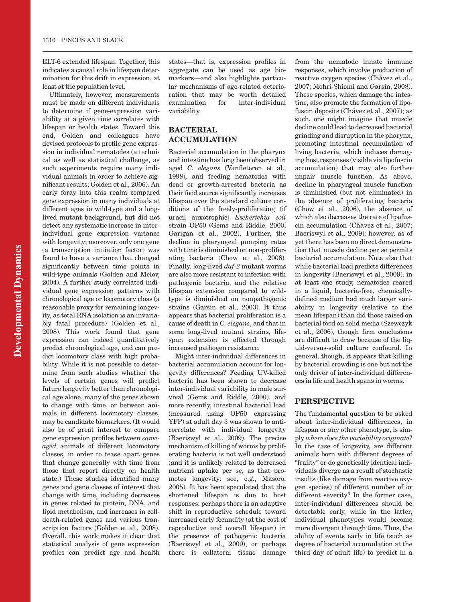ELT-6 extended lifespan. Together, this indicates a causal role in lifespan determination for this drift in expression, at least at the population level.

Ultimately, however, measurements must be made on different individuals to determine if gene-expression variability at a given time correlates with lifespan or health states. Toward this end, Golden and colleagues have devised protocols to profile gene expression in individual nematodes (a technical as well as statistical challenge, as such experiments require many individual animals in order to achieve significant results; Golden et al., 2006). An early foray into this realm compared gene expression in many individuals at different ages in wild-type and a longlived mutant background, but did not detect any systematic increase in interindividual gene expression variance with longevity; moreover, only one gene (a transcription initiation factor) was found to have a variance that changed significantly between time points in wild-type animals (Golden and Melov, 2004). A further study correlated individual gene expression patterns with chronological age or locomotory class (a reasonable proxy for remaining longevity, as total RNA isolation is an invariably fatal procedure) (Golden et al., 2008). This work found that gene expression can indeed quantitatively predict chronological age, and can predict locomotory class with high probability. While it is not possible to determine from such studies whether the levels of certain genes will predict future longevity better than chronological age alone, many of the genes shown to change with time, or between animals in different locomotory classes, may be candidate biomarkers. (It would also be of great interest to compare gene expression profiles between sameaged animals of different locomotory classes, in order to tease apart genes that change generally with time from those that report directly on health state.) These studies identified many genes and gene classes of interest that change with time, including decreases in genes related to protein, DNA, and lipid metabolism, and increases in celldeath-related genes and various transcription factors (Golden et al., 2008). Overall, this work makes it clear that statistical analysis of gene expression profiles can predict age and health states—that is, expression profiles in aggregate can be used as age biomarkers—and also highlights particular mechanisms of age-related deterioration that may be worth detailed examination for inter-individual variability.

#### BACTERIAL ACCUMULATION

Bacterial accumulation in the pharynx and intestine has long been observed in aged C. elegans (Vanfleteren et al., 1998), and feeding nematodes with dead or growth-arrested bacteria as their food source significantly increases lifespan over the standard culture conditions of the freely-proliferating (if uracil auxotrophic) Escherichia coli strain OP50 (Gems and Riddle, 2000; Garigan et al., 2002). Further, the decline in pharyngeal pumping rates with time is diminished on non-proliferating bacteria (Chow et al., 2006). Finally, long-lived daf-2 mutant worms are also more resistant to infection with pathogenic bacteria, and the relative lifespan extension compared to wildtype is diminished on nonpathogenic strains (Garsin et al., 2003). It thus appears that bacterial proliferation is a cause of death in C. elegans, and that in some long-lived mutant strains, lifespan extension is effected through increased pathogen resistance.

Might inter-individual differences in bacterial accumulation account for longevity differences? Feeding UV-killed bacteria has been shown to decrease inter-individual variability in male survival (Gems and Riddle, 2000), and more recently, intestinal bacterial load (measured using OP50 expressing YFP) at adult day 3 was shown to anticorrelate with individual longevity (Baeriswyl et al., 2009). The precise mechanism of killing of worms by proliferating bacteria is not well understood (and it is unlikely related to decreased nutrient uptake per se, as that promotes longevity: see, e.g., Masoro, 2005). It has been speculated that the shortened lifespan is due to host responses: perhaps there is an adaptive shift in reproductive schedule toward increased early fecundity (at the cost of reproductive and overall lifespan) in the presence of pathogenic bacteria (Baeriswyl et al., 2009), or perhaps there is collateral tissue damage from the nematode innate immune responses, which involve production of reactive oxygen species (Chávez et al., 2007; Mohri-Shiomi and Garsin, 2008). These species, which damage the intestine, also promote the formation of lipofuscin deposits (Chávez et al., 2007); as such, one might imagine that muscle decline could lead to decreased bacterial grinding and disruption in the pharynx, promoting intestinal accumulation of living bacteria, which induces damaging host responses (visible via lipofuscin accumulation) that may also further impair muscle function. As above, decline in pharyngeal muscle function is diminished (but not eliminated) in the absence of proliferating bacteria (Chow et al., 2006), the absence of which also decreases the rate of lipofuscin accumulation (Chávez et al., 2007; Baeriswyl et al., 2009); however, as of yet there has been no direct demonstration that muscle decline per se permits bacterial accumulation. Note also that while bacterial load predicts differences in longevity (Baeriswyl et al., 2009), in at least one study, nematodes reared in a liquid, bacteria-free, chemicallydefined medium had much larger variability in longevity (relative to the mean lifespan) than did those raised on bacterial food on solid media (Szewczyk et al., 2006), though firm conclusions are difficult to draw because of the liquid-versus-solid culture confound. In general, though, it appears that killing by bacterial crowding is one but not the only driver of inter-individual differences in life and health spans in worms.

## PERSPECTIVE

The fundamental question to be asked about inter-individual differences, in lifespan or any other phenotype, is simply where does the variability originate? In the case of longevity, are different animals born with different degrees of ''frailty'' or do genetically identical individuals diverge as a result of stochastic insults (like damage from reactive oxygen species) of different number of or different severity? In the former case, inter-individual differences should be detectable early, while in the latter, individual phenotypes would become more divergent through time. Thus, the ability of events early in life (such as degree of bacterial accumulation at the third day of adult life) to predict in a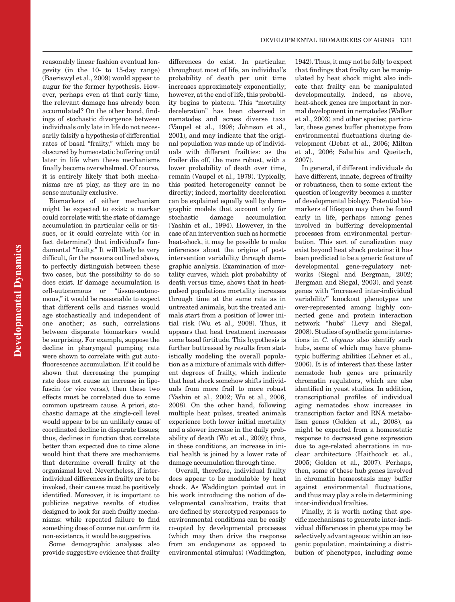reasonably linear fashion eventual longevity (in the 10- to 15-day range) (Baeriswyl et al., 2009) would appear to augur for the former hypothesis. However, perhaps even at that early time, the relevant damage has already been accumulated? On the other hand, findings of stochastic divergence between individuals only late in life do not necessarily falsify a hypothesis of differential rates of basal "frailty," which may be obscured by homeostatic buffering until later in life when these mechanisms finally become overwhelmed. Of course, it is entirely likely that both mechanisms are at play, as they are in no sense mutually exclusive.

Biomarkers of either mechanism might be expected to exist: a marker could correlate with the state of damage accumulation in particular cells or tissues, or it could correlate with (or in fact determine!) that individual's fundamental "frailty." It will likely be very difficult, for the reasons outlined above, to perfectly distinguish between these two cases, but the possibility to do so does exist. If damage accumulation is cell-autonomous or ''tissue-autonomous,'' it would be reasonable to expect that different cells and tissues would age stochastically and independent of one another; as such, correlations between disparate biomarkers would be surprising. For example, suppose the decline in pharyngeal pumping rate were shown to correlate with gut autofluorescence accumulation. If it could be shown that decreasing the pumping rate does not cause an increase in lipofuscin (or vice versa), then these two effects must be correlated due to some common upstream cause. A priori, stochastic damage at the single-cell level would appear to be an unlikely cause of coordinated decline in disparate tissues; thus, declines in function that correlate better than expected due to time alone would hint that there are mechanisms that determine overall frailty at the organismal level. Nevertheless, if interindividual differences in frailty are to be invoked, their causes must be positively identified. Moreover, it is important to publicize negative results of studies designed to look for such frailty mechanisms: while repeated failure to find something does of course not confirm its non-existence, it would be suggestive.

Some demographic analyses also provide suggestive evidence that frailty differences do exist. In particular, throughout most of life, an individual's probability of death per unit time increases approximately exponentially; however, at the end of life, this probability begins to plateau. This ''mortality deceleration'' has been observed in nematodes and across diverse taxa (Vaupel et al., 1998; Johnson et al., 2001), and may indicate that the original population was made up of individuals with different frailties: as the frailer die off, the more robust, with a lower probability of death over time, remain (Vaupel et al., 1979). Typically, this posited heterogeneity cannot be directly; indeed, mortality deceleration can be explained equally well by demographic models that account only for stochastic damage accumulation (Yashin et al., 1994). However, in the case of an intervention such as hormetic heat-shock, it may be possible to make inferences about the origins of postintervention variability through demographic analysis. Examination of mortality curves, which plot probability of death versus time, shows that in heatpulsed populations mortality increases through time at the same rate as in untreated animals, but the treated animals start from a position of lower initial risk (Wu et al., 2008). Thus, it appears that heat treatment increases some basal fortitude. This hypothesis is further buttressed by results from statistically modeling the overall population as a mixture of animals with different degrees of frailty, which indicate that heat shock somehow shifts individuals from more frail to more robust (Yashin et al., 2002; Wu et al., 2006, 2008). On the other hand, following multiple heat pulses, treated animals experience both lower initial mortality and a slower increase in the daily probability of death (Wu et al., 2009); thus, in these conditions, an increase in initial health is joined by a lower rate of damage accumulation through time.

Overall, therefore, individual frailty does appear to be modulable by heat shock. As Waddington pointed out in his work introducing the notion of developmental canalization, traits that are defined by stereotyped responses to environmental conditions can be easily co-opted by developmental processes (which may then drive the response from an endogenous as opposed to environmental stimulus) (Waddington,

1942). Thus, it may not be folly to expect that findings that frailty can be manipulated by heat shock might also indicate that frailty can be manipulated developmentally. Indeed, as above, heat-shock genes are important in normal development in nematodes (Walker et al., 2003) and other species; particular, these genes buffer phenotype from environmental fluctuations during development (Debat et al., 2006; Milton et al., 2006; Salathia and Queitsch, 2007).

In general, if different individuals do have different, innate, degrees of frailty or robustness, then to some extent the question of longevity becomes a matter of developmental biology. Potential biomarkers of lifespan may then be found early in life, perhaps among genes involved in buffering developmental processes from environmental perturbation. This sort of canalization may exist beyond heat shock proteins: it has been predicted to be a generic feature of developmental gene-regulatory networks (Siegal and Bergman, 2002; Bergman and Siegal, 2003), and yeast genes with ''increased inter-individual variability'' knockout phenotypes are over-represented among highly connected gene and protein interaction network "hubs" (Levy and Siegal, 2008). Studies of synthetic gene interactions in C. elegans also identify such hubs, some of which may have phenotypic buffering abilities (Lehner et al., 2006). It is of interest that these latter nematode hub genes are primarily chromatin regulators, which are also identified in yeast studies. In addition, transcriptional profiles of individual aging nematodes show increases in transcription factor and RNA metabolism genes (Golden et al., 2008), as might be expected from a homeostatic response to decreased gene expression due to age-related aberrations in nuclear architecture (Haithcock et al., 2005; Golden et al., 2007). Perhaps, then, some of these hub genes involved in chromatin homeostasis may buffer against environmental fluctuations, and thus may play a role in determining inter-individual frailties.

Finally, it is worth noting that specific mechanisms to generate inter-individual differences in phenotype may be selectively advantageous: within an isogenic population, maintaining a distribution of phenotypes, including some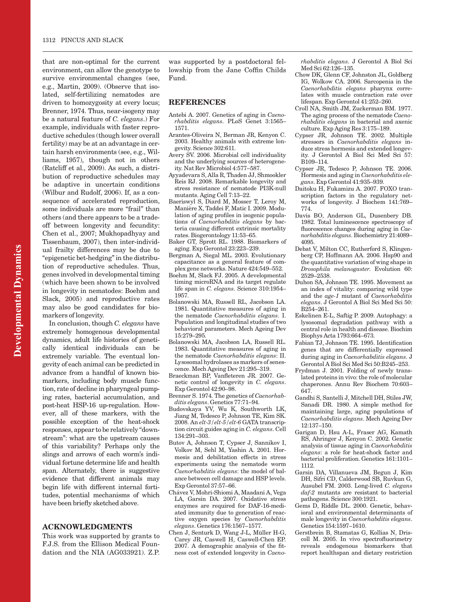that are non-optimal for the current environment, can allow the genotype to survive environmental changes (see, e.g., Martin, 2009). (Observe that isolated, self-fertilizing nematodes are driven to homozygosity at every locus; Brenner, 1974. Thus, near-isogeny may be a natural feature of C. elegans.) For example, individuals with faster reproductive schedules (though lower overall fertility) may be at an advantage in certain harsh environments (see, e.g., Williams, 1957), though not in others (Ratcliff et al., 2009). As such, a distribution of reproductive schedules may be adaptive in uncertain conditions (Wilbur and Rudolf, 2006). If, as a consequence of accelerated reproduction, some individuals are more "frail" than others (and there appears to be a tradeoff between longevity and fecundity: Chen et al., 2007; Mukhopadhyay and Tissenbaum, 2007), then inter-individual frailty differences may be due to ''epigenetic bet-hedging'' in the distribution of reproductive schedules. Thus, genes involved in developmental timing (which have been shown to be involved in longevity in nematodes: Boehm and Slack, 2005) and reproductive rates may also be good candidates for biomarkers of longevity.

In conclusion, though C. elegans have extremely homogenous developmental dynamics, adult life histories of genetically identical individuals can be extremely variable. The eventual longevity of each animal can be predicted in advance from a handful of known biomarkers, including body muscle function, rate of decline in pharyngeal pumping rates, bacterial accumulation, and post-heat HSP-16 up-regulation. However, all of these markers, with the possible exception of the heat-shock responses, appear to be relatively ''downstream'': what are the upstream causes of this variability? Perhaps only the slings and arrows of each worm's individual fortune determine life and health span. Alternately, there is suggestive evidence that different animals may begin life with different internal fortitudes, potential mechanisms of which have been briefly sketched above.

#### ACKNOWLEDGMENTS

This work was supported by grants to F.J.S. from the Ellison Medical Foundation and the NIA (AG033921). Z.P.

was supported by a postdoctoral fellowship from the Jane Coffin Childs Fund.

#### REFERENCES

- Antebi A. 2007. Genetics of aging in Caenorhabditis elegans. PLoS Genet 3:1565– 1571.
- Arantes-Oliveira N, Berman JR, Kenyon C. 2003. Healthy animals with extreme longevity. Science 302:611.
- Avery SV. 2006. Microbial cell individuality and the underlying sources of heterogeneity. Nat Rev Microbiol 4:577–587.
- Ayyadevara S, Alla R, Thaden JJ, Shmookler Reis RJ. 2008. Remarkable longevity and stress resistance of nematode PI3K-null mutants. Aging Cell 7:13–22.
- Baeriswyl S, Diard M, Mosser T, Leroy M, Manière X, Taddei F, Matic I. 2009. Modulation of aging profiles in isogenic populations of Caenorhabditis elegans by bacteria causing different extrinsic mortality rates. Biogerontology 11:53–65.
- Baker GT, Sprott RL. 1988. Biomarkers of aging. Exp Gerontol 23:223–239.
- Bergman A, Siegal ML. 2003. Evolutionary capacitance as a general feature of complex gene networks. Nature 424:549–552.
- Boehm M, Slack FJ. 2005. A developmental timing microRNA and its target regulate life span in C. elegans. Science 310:1954– 1957.
- Bolanowski MA, Russell RL, Jacobson LA. 1981. Quantitative measures of aging in the nematode Caenorhabditis elegans. I. Population and longitudinal studies of two behavioral parameters. Mech Ageing Dev 15:279–295.
- Bolanowski MA, Jacobson LA, Russell RL. 1983. Quantitative measures of aging in the nematode Caenorhabditis elegans: II. Lysosomal hydrolases as markers of senescence. Mech Ageing Dev 21:295–319.
- Braeckman BP, Vanfleteren JR. 2007. Genetic control of longevity in C. elegans. Exp Gerontol 42:90–98.
- Brenner S. 1974. The genetics of Caenorhabditis elegans. Genetics 77:71–94.
- Budovskaya YV, Wu K, Southworth LK, Jiang M, Tedesco P, Johnson TE, Kim SK. 2008. An elt-3/elt-5/elt-6 GATA transcription circuit guides aging in C. elegans. Cell 134:291–303.
- Butov A, Johnson T, Cypser J, Sannikov I, Volkov M, Sehl M, Yashin A. 2001. Hormesis and debilitation effects in stress experiments using the nematode worm Caenorhabditis elegans: the model of balance between cell damage and HSP levels. Exp Gerontol 37:57–66.
- Cha´vez V, Mohri-Shiomi A, Maadani A, Vega LA, Garsin DA. 2007. Oxidative stress enzymes are required for DAF-16-mediated immunity due to generation of reactive oxygen species by Caenorhabditis elegans. Genetics 176:1567–1577.
- Chen J, Senturk D, Wang J-L, Müller H-G, Carey JR, Caswell H, Caswell-Chen EP. 2007. A demographic analysis of the fitness cost of extended longevity in Caeno-

rhabditis elegans. J Gerontol A Biol Sci Med Sci 62:126–135.

- Chow DK, Glenn CF, Johnston JL, Goldberg IG, Wolkow CA. 2006. Sarcopenia in the Caenorhabditis elegans pharynx correlates with muscle contraction rate over lifespan. Exp Gerontol 41:252–260.
- Croll NA, Smith JM, Zuckerman BM. 1977. The aging process of the nematode Caenorhabditis elegans in bacterial and axenic culture. Exp Aging Res 3:175–189.
- Cypser JR, Johnson TE. 2002. Multiple stressors in Caenorhabditis elegans induce stress hormesis and extended longevity. J Gerontol A Biol Sci Med Sci 57: B109–114.
- Cypser JR, Tedesco P, Johnson TE. 2006. Hormesis and aging in Caenorhabditis elegans. Exp Gerontol 41:935–939.
- Daitoku H, Fukamizu A. 2007. FOXO transcription factors in the regulatory networks of longevity. J Biochem 141:769– 774.
- Davis BO, Anderson GL, Dusenbery DB. 1982. Total luminescence spectroscopy of fluorescence changes during aging in Caenorhabditis elegans. Biochemistry 21:4089– 4095.
- Debat V, Milton CC, Rutherford S, Klingenberg CP, Hoffmann AA. 2006. Hsp90 and the quantitative variation of wing shape in Drosophila melanogaster. Evolution 60: 2529–2538.
- Duhon SA, Johnson TE. 1995. Movement as an index of vitality: comparing wild type and the age-1 mutant of Caenorhabditis elegans. J Gerontol A Biol Sci Med Sci 50: B254–261.
- Eskelinen E-L, Saftig P. 2009. Autophagy: a lysosomal degradation pathway with a central role in health and disease. Biochim Biophys Acta 1793:664–673.
- Fabian TJ, Johnson TE. 1995. Identification genes that are differentially expressed during aging in Caenorhabditis elegans. J Gerontol A Biol Sci Med Sci 50:B245–253.
- Frydman J. 2001. Folding of newly translated proteins in vivo: the role of molecular chaperones. Annu Rev Biochem 70:603– 647.
- Gandhi S, Santelli J, Mitchell DH, Stiles JW, Sanadi DR. 1980. A simple method for maintaining large, aging populations of Caenorhabditis elegans. Mech Ageing Dev 12:137–150.
- Garigan D, Hsu A-L, Fraser AG, Kamath RS, Ahringer J, Kenyon C. 2002. Genetic analysis of tissue aging in Caenorhabditis elegans: a role for heat-shock factor and bacterial proliferation. Genetics 161:1101– 1112.
- Garsin DA, Villanueva JM, Begun J, Kim DH, Sifri CD, Calderwood SB, Ruvkun G, Ausubel FM. 2003. Long-lived C. elegans daf-2 mutants are resistant to bacterial pathogens. Science 300:1921.
- Gems D, Riddle DL. 2000. Genetic, behavioral and environmental determinants of male longevity in Caenorhabditis elegans. Genetics 154:1597–1610.
- Gerstbrein B, Stamatas G, Kollias N, Driscoll M. 2005. In vivo spectrofluorimetry reveals endogenous biomarkers that report healthspan and dietary restriction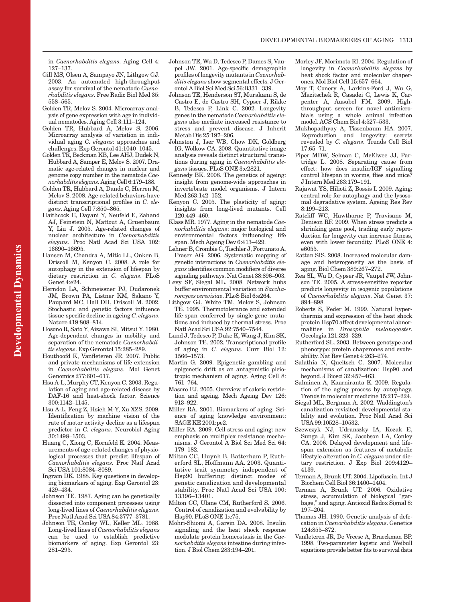in Caenorhabditis elegans. Aging Cell 4: 127–137.

- Gill MS, Olsen A, Sampayo JN, Lithgow GJ. 2003. An automated high-throughput assay for survival of the nematode Caenorhabditis elegans. Free Radic Biol Med 35: 558–565.
- Golden TR, Melov S. 2004. Microarray analysis of gene expression with age in individual nematodes. Aging Cell 3:111–124.
- Golden TR, Hubbard A, Melov S. 2006. Microarray analysis of variation in individual aging C. elegans: approaches and challenges. Exp Gerontol 41:1040–1045.
- Golden TR, Beckman KB, Lee AHJ, Dudek N, Hubbard A, Samper E, Melov S. 2007. Dramatic age-related changes in nuclear and genome copy number in the nematode Caenorhabditis elegans. Aging Cell 6:179–188.
- Golden TR, Hubbard A, Dando C, Herren M, Melov S. 2008. Age-related behaviors have distinct transcriptional profiles in C. elegans. Aging Cell 7:850–865.
- Haithcock E, Dayani Y, Neufeld E, Zahand AJ, Feinstein N, Mattout A, Gruenbaum Y, Liu J. 2005. Age-related changes of nuclear architecture in Caenorhabditis elegans. Proc Natl Acad Sci USA 102: 16690–16695.
- Hansen M, Chandra A, Mitic LL, Onken B, Driscoll M, Kenyon C. 2008. A role for autophagy in the extension of lifespan by dietary restriction in C. elegans. PLoS Genet 4:e24.
- Herndon LA, Schmeissner PJ, Dudaronek JM, Brown PA, Listner KM, Sakano Y, Paupard MC, Hall DH, Driscoll M. 2002. Stochastic and genetic factors influence tissue-specific decline in ageing C. elegans. Nature 419:808–814.
- Hosono R, Sato Y, Aizawa SI, Mitsui Y. 1980. Age-dependent changes in mobility and separation of the nematode Caenorhabditis elegans. Exp Gerontol 15:285–289.
- Houthoofd K, Vanfleteren JR. 2007. Public and private mechanisms of life extension in Caenorhabditis elegans. Mol Genet Genomics 277:601–617.
- Hsu A-L, Murphy CT, Kenyon C. 2003. Regulation of aging and age-related disease by DAF-16 and heat-shock factor. Science 300:1142–1145.
- Hsu A-L, Feng Z, Hsieh M-Y, Xu XZS. 2009. Identification by machine vision of the rate of motor activity decline as a lifespan predictor in C. elegans. Neurobiol Aging 30:1498–1503.
- Huang C, Xiong C, Kornfeld K. 2004. Measurements of age-related changes of physiological processes that predict lifespan of Caenorhabditis elegans. Proc Natl Acad Sci USA 101:8084–8089.
- Ingram DK. 1988. Key questions in developing biomarkers of aging. Exp Gerontol 23: 429–434.
- Johnson TE. 1987. Aging can be genetically dissected into component processes using long-lived lines of Caenorhabditis elegans. Proc Natl Acad Sci USA 84:3777–3781.
- Johnson TE, Conley WL, Keller ML. 1988. Long-lived lines of Caenorhabditis elegans can be used to establish predictive biomarkers of aging. Exp Gerontol 23: 281–295.
- Johnson TE, Wu D, Tedesco P, Dames S, Vaupel JW. 2001. Age-specific demographic profiles of longevity mutants in Caenorhabditis elegans show segmental effects. J Gerontol A Biol Sci Med Sci 56:B331– 339.
- Johnson TE, Henderson ST, Murakami S, de Castro E, de Castro SH, Cypser J, Rikke B, Tedesco P, Link C. 2002. Longevity genes in the nematode Caenorhabditis elegans also mediate increased resistance to stress and prevent disease. J Inherit Metab Dis 25:197–206.
- Johnston J, Iser WB, Chow DK, Goldberg IG, Wolkow CA. 2008. Quantitative image analysis reveals distinct structural transitions during aging in Caenorhabditis elegans tissues. PLoS ONE 3:e2821.
- Kennedy BK. 2008. The genetics of ageing: insight from genome-wide approaches in invertebrate model organisms. J Intern Med 263:142–152.
- Kenyon C. 2005. The plasticity of aging: insights from long-lived mutants. Cell 120:449–460.
- Klass MR. 1977. Aging in the nematode Caenorhabditis elegans: major biological and environmental factors influencing life span. Mech Ageing Dev 6:413–429.
- Lehner B, Crombie C, Tischler J, Fortunato A, Fraser AG. 2006. Systematic mapping of genetic interactions in Caenorhabditis elegans identifies common modifiers of diverse signaling pathways. Nat Genet 38:896–903.
- Levy SF, Siegal ML. 2008. Network hubs buffer environmental variation in Saccharomyces cerevisiae. PLoS Biol 6:e264.
- Lithgow GJ, White TM, Melov S, Johnson TE. 1995. Thermotolerance and extended life-span conferred by single-gene mutations and induced by thermal stress. Proc Natl Acad Sci USA 92:7540–7544.
- Lund J, Tedesco P, Duke K, Wang J, Kim SK, Johnson TE. 2002. Transcriptional profile of aging in C. elegans. Curr Biol 12: 1566–1573.
- Martin G. 2009. Epigenetic gambling and epigenetic drift as an antagonistic pleiotropic mechanism of aging. Aging Cell 8: 761–764.
- Masoro EJ. 2005. Overview of caloric restriction and ageing. Mech Ageing Dev 126: 913–922.
- Miller RA. 2001. Biomarkers of aging. Science of aging knowledge environment: SAGE KE 2001:pe2.
- Miller RA. 2009. Cell stress and aging: new emphasis on multiplex resistance mechanisms. J Gerontol A Biol Sci Med Sci 64: 179–182.
- Milton CC, Huynh B, Batterham P, Rutherford SL, Hoffmann AA. 2003. Quantitative trait symmetry independent of Hsp90 buffering: distinct modes of genetic canalization and developmental stability. Proc Natl Acad Sci USA 100: 13396–13401.
- Milton CC, Ulane CM, Rutherford S. 2006. Control of canalization and evolvability by Hsp90. PLoS ONE 1:e75.
- Mohri-Shiomi A, Garsin DA. 2008. Insulin signaling and the heat shock response modulate protein homeostasis in the Caenorhabditis elegans intestine during infection. J Biol Chem 283:194–201.
- Morley JF, Morimoto RI. 2004. Regulation of longevity in Caenorhabditis elegans by heat shock factor and molecular chaperones. Mol Biol Cell 15:657–664.
- Moy T, Conery A, Larkins-Ford J, Wu G, Mazitschek R, Casadei G, Lewis K, Carpenter A, Ausubel FM. 2009. Highthroughput screen for novel antimicrobials using a whole animal infection model. ACS Chem Biol 4:527–533.
- Mukhopadhyay A, Tissenbaum HA. 2007. Reproduction and longevity: secrets revealed by C. elegans. Trends Cell Biol 17:65–71.
- Piper MDW, Selman C, McElwee JJ, Partridge L. 2008. Separating cause from effect: how does insulin/IGF signalling control lifespan in worms, flies and mice? J Intern Med 263:179–191.
- Rajawat YS, Hilioti Z, Bossis I. 2009. Aging: central role for autophagy and the lysosomal degradative system. Ageing Res Rev 8:199–213.
- Ratcliff WC, Hawthorne P, Travisano M, Denison RF. 2009. When stress predicts a shrinking gene pool, trading early reproduction for longevity can increase fitness, even with lower fecundity. PLoS ONE 4: e6055.
- Rattan SIS. 2008. Increased molecular damage and heterogeneity as the basis of aging. Biol Chem 389:267–272.
- Rea SL, Wu D, Cypser JR, Vaupel JW, Johnson TE. 2005. A stress-sensitive reporter predicts longevity in isogenic populations of Caenorhabditis elegans. Nat Genet 37: 894–898.
- Roberts S, Feder M. 1999. Natural hyperthermia and expression of the heat shock protein Hsp70 affect developmental abnormalities in *Drosophila* melanogaster. Oecologia 121:323–329.
- Rutherford SL. 2003. Between genotype and phenotype: protein chaperones and evolvability. Nat Rev Genet 4:263–274.
- Salathia N, Queitsch C. 2007. Molecular mechanisms of canalization: Hsp90 and beyond. J Biosci 32:457–463.
- Salminen A, Kaarniranta K. 2009. Regulation of the aging process by autophagy. Trends in molecular medicine 15:217–224.
- Siegal ML, Bergman A. 2002. Waddington's canalization revisited: developmental stability and evolution. Proc Natl Acad Sci USA 99:10528–10532.
- Szewczyk NJ, Udranszky IA, Kozak E, Sunga J, Kim SK, Jacobson LA, Conley CA. 2006. Delayed development and lifespan extension as features of metabolic lifestyle alteration in C. elegans under dietary restriction. J Exp Biol 209:4129– 4139.
- Terman A, Brunk UT. 2004. Lipofuscin. Int J Biochem Cell Biol 36:1400–1404.
- Terman A, Brunk UT. 2006. Oxidative stress, accumulation of biological "garbage,'' and aging. Antioxid Redox Signal 8: 197–204.
- Thomas JH. 1990. Genetic analysis of defecation in Caenorhabditis elegans. Genetics 124:855–872.
- Vanfleteren JR, De Vreese A, Braeckman BP. 1998. Two-parameter logistic and Weibull equations provide better fits to survival data